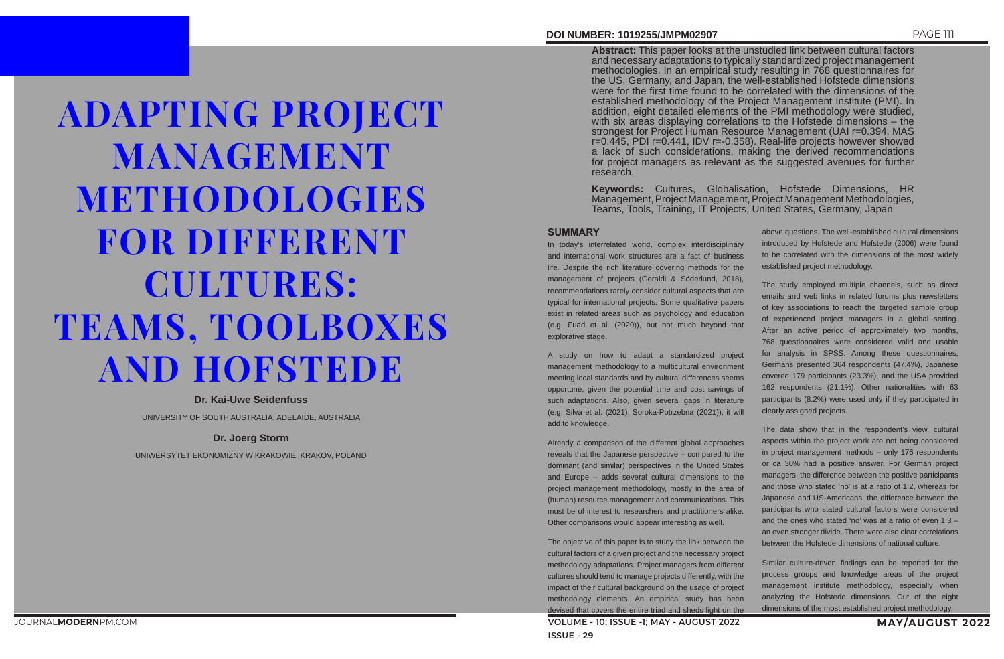ADAPTING PROJECT MANAGEMENT METHODOLOGIES FOR DIFFERENT CULTURES: TEAMS, TOOLBOXES AND HOFSTEDE

**Dr. Kai-Uwe Seidenfuss**

UNIVERSITY OF SOUTH AUSTRALIA, ADELAIDE, AUSTRALIA

### **Dr. Joerg Storm**

UNIWERSYTET EKONOMIZNY W KRAKOWIE, KRAKOV, POLAND

## **DOI NUMBER: 1019255/JMPM02907** PAGE 111

**Abstract:** This paper looks at the unstudied link between cultural factors and necessary adaptations to typically standardized project management methodologies. In an empirical study resulting in 768 questionnaires for the US, Germany, and Japan, the well-established Hofstede dimensions were for the first time found to be correlated with the dimensions of the established methodology of the Project Management Institute (PMI). In addition, eight detailed elements of the PMI methodology were studied, with six areas displaying correlations to the Hofstede dimensions – the strongest for Project Human Resource Management (UAI r=0.394, MAS r=0.445, PDI r=0.441, IDV r=-0.358). Real-life projects however showed a lack of such considerations, making the derived recommendations for project managers as relevant as the suggested avenues for further research.

**Keywords:** Cultures, Globalisation, Hofstede Dimensions, HR Management, Project Management, Project Management Methodologies, Teams, Tools, Training, IT Projects, United States, Germany, Japan

### **SUMMARY**

**VOLUME - 10; ISSUE -1; MAY - AUGUST 2022 MAY/AUGUST 2022** The objective of this paper is to study the link between the cultural factors of a given project and the necessary project methodology adaptations. Project managers from different cultures should tend to manage projects differently, with the impact of their cultural background on the usage of project methodology elements. An empirical study has been devised that covers the entire triad and sheds light on the

In today's interrelated world, complex interdisciplinary and international work structures are a fact of business life. Despite the rich literature covering methods for the management of projects (Geraldi & Söderlund, 2018), recommendations rarely consider cultural aspects that are typical for international projects. Some qualitative papers exist in related areas such as psychology and education (e.g. Fuad et al. (2020)), but not much beyond that explorative stage.

A study on how to adapt a standardized project management methodology to a multicultural environment meeting local standards and by cultural differences seems opportune, given the potential time and cost savings of such adaptations. Also, given several gaps in literature (e.g. Silva et al. (2021); Soroka-Potrzebna (2021)), it will add to knowledge.

Already a comparison of the different global approaches reveals that the Japanese perspective – compared to the dominant (and similar) perspectives in the United States and Europe – adds several cultural dimensions to the project management methodology, mostly in the area of (human) resource management and communications. This must be of interest to researchers and practitioners alike. Other comparisons would appear interesting as well.

above questions. The well-established cultural dimensions introduced by Hofstede and Hofstede (2006) were found to be correlated with the dimensions of the most widely established project methodology.

The study employed multiple channels, such as direct emails and web links in related forums plus newsletters of key associations to reach the targeted sample group of experienced project managers in a global setting. After an active period of approximately two months, 768 questionnaires were considered valid and usable for analysis in SPSS. Among these questionnaires, Germans presented 364 respondents (47.4%), Japanese covered 179 participants (23.3%), and the USA provided 162 respondents (21.1%). Other nationalities with 63 participants (8.2%) were used only if they participated in clearly assigned projects.

The data show that in the respondent's view, cultural aspects within the project work are not being considered in project management methods – only 176 respondents or ca 30% had a positive answer. For German project managers, the difference between the positive participants and those who stated 'no' is at a ratio of 1:2, whereas for Japanese and US-Americans, the difference between the participants who stated cultural factors were considered and the ones who stated 'no' was at a ratio of even 1:3 – an even stronger divide. There were also clear correlations between the Hofstede dimensions of national culture.

Similar culture-driven findings can be reported for the process groups and knowledge areas of the project management institute methodology, especially when analyzing the Hofstede dimensions. Out of the eight dimensions of the most established project methodology,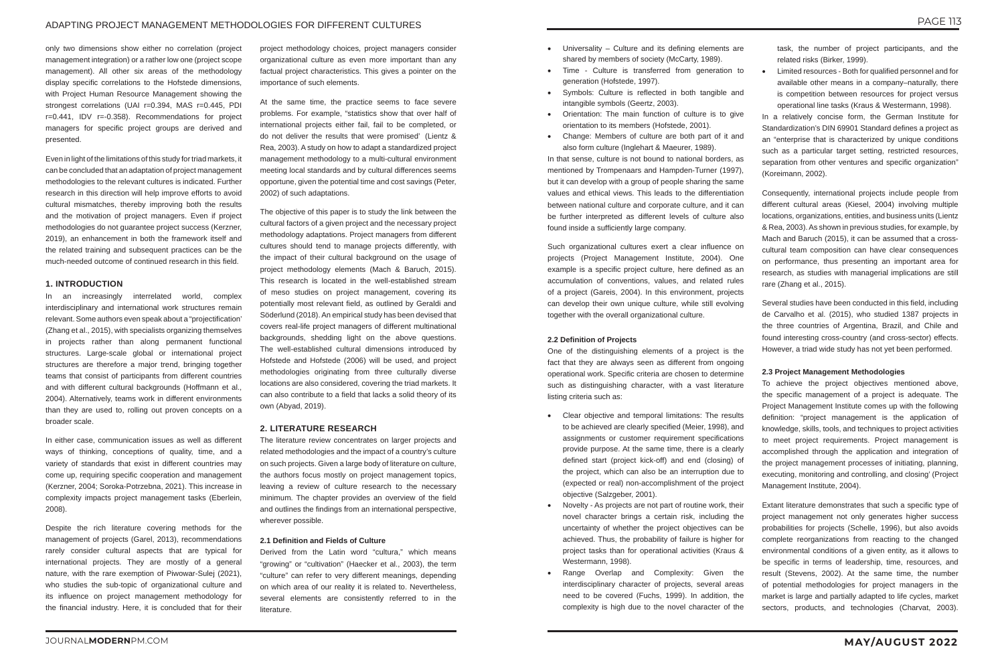only two dimensions show either no correlation (project management integration) or a rather low one (project scope management). All other six areas of the methodology display specific correlations to the Hofstede dimensions, with Project Human Resource Management showing the strongest correlations (UAI r=0.394, MAS r=0.445, PDI r=0.441, IDV r=-0.358). Recommendations for project managers for specific project groups are derived and presented.

Even in light of the limitations of this study for triad markets, it can be concluded that an adaptation of project management methodologies to the relevant cultures is indicated. Further research in this direction will help improve efforts to avoid cultural mismatches, thereby improving both the results and the motivation of project managers. Even if project methodologies do not guarantee project success (Kerzner, 2019), an enhancement in both the framework itself and the related training and subsequent practices can be the much-needed outcome of continued research in this field.

### **1. INTRODUCTION**

In an increasingly interrelated world, complex interdisciplinary and international work structures remain relevant. Some authors even speak about a "projectification' (Zhang et al., 2015), with specialists organizing themselves in projects rather than along permanent functional structures. Large-scale global or international project structures are therefore a major trend, bringing together teams that consist of participants from different countries and with different cultural backgrounds (Hoffmann et al., 2004). Alternatively, teams work in different environments than they are used to, rolling out proven concepts on a broader scale.

In either case, communication issues as well as different ways of thinking, conceptions of quality, time, and a variety of standards that exist in different countries may come up, requiring specific cooperation and management (Kerzner, 2004; Soroka-Potrzebna, 2021). This increase in complexity impacts project management tasks (Eberlein, 2008).

Despite the rich literature covering methods for the management of projects (Garel, 2013), recommendations rarely consider cultural aspects that are typical for international projects. They are mostly of a general nature, with the rare exemption of Piwowar-Sulej (2021), who studies the sub-topic of organizational culture and its influence on project management methodology for the financial industry. Here, it is concluded that for their

project methodology choices, project managers consider organizational culture as even more important than any factual project characteristics. This gives a pointer on the importance of such elements.

At the same time, the practice seems to face severe problems. For example, "statistics show that over half of international projects either fail, fail to be completed, or do not deliver the results that were promised' (Lientz & Rea, 2003). A study on how to adapt a standardized project management methodology to a multi-cultural environment meeting local standards and by cultural differences seems opportune, given the potential time and cost savings (Peter, 2002) of such adaptations.

The objective of this paper is to study the link between the cultural factors of a given project and the necessary project methodology adaptations. Project managers from different cultures should tend to manage projects differently, with the impact of their cultural background on the usage of project methodology elements (Mach & Baruch, 2015). This research is located in the well-established stream of meso studies on project management, covering its potentially most relevant field, as outlined by Geraldi and Söderlund (2018). An empirical study has been devised that covers real-life project managers of different multinational backgrounds, shedding light on the above questions. The well-established cultural dimensions introduced by Hofstede and Hofstede (2006) will be used, and project methodologies originating from three culturally diverse locations are also considered, covering the triad markets. It can also contribute to a field that lacks a solid theory of its own (Abyad, 2019).

### **2. LITERATURE RESEARCH**

The literature review concentrates on larger projects and related methodologies and the impact of a country's culture on such projects. Given a large body of literature on culture, the authors focus mostly on project management topics, leaving a review of culture research to the necessary minimum. The chapter provides an overview of the field and outlines the findings from an international perspective, wherever possible.

Extant literature demonstrates that such a specific type of project management not only generates higher success probabilities for projects (Schelle, 1996), but also avoids complete reorganizations from reacting to the changed environmental conditions of a given entity, as it allows to be specific in terms of leadership, time, resources, and result (Stevens, 2002). At the same time, the number of potential methodologies for project managers in the market is large and partially adapted to life cycles, market sectors, products, and technologies (Charvat, 2003).

### **2.1 Definition and Fields of Culture**

Derived from the Latin word "cultura," which means "growing" or "cultivation" (Haecker et al., 2003), the term "culture" can refer to very different meanings, depending on which area of our reality it is related to. Nevertheless, several elements are consistently referred to in the literature.

- • Universality Culture and its defining elements are shared by members of society (McCarty, 1989).
- Time Culture is transferred from generation to generation (Hofstede, 1997).
- • Symbols: Culture is reflected in both tangible and intangible symbols (Geertz, 2003).
- Orientation: The main function of culture is to give orientation to its members (Hofstede, 2001).
- Change: Members of culture are both part of it and also form culture (Inglehart & Maeurer, 1989).

In that sense, culture is not bound to national borders, as mentioned by Trompenaars and Hampden-Turner (1997), but it can develop with a group of people sharing the same values and ethical views. This leads to the differentiation between national culture and corporate culture, and it can be further interpreted as different levels of culture also found inside a sufficiently large company.

Such organizational cultures exert a clear influence on projects (Project Management Institute, 2004). One example is a specific project culture, here defined as an accumulation of conventions, values, and related rules of a project (Gareis, 2004). In this environment, projects can develop their own unique culture, while still evolving together with the overall organizational culture.

### **2.2 Definition of Projects**

One of the distinguishing elements of a project is the fact that they are always seen as different from ongoing operational work. Specific criteria are chosen to determine such as distinguishing character, with a vast literature listing criteria such as:

- • Clear objective and temporal limitations: The results to be achieved are clearly specified (Meier, 1998), and assignments or customer requirement specifications provide purpose. At the same time, there is a clearly defined start (project kick-off) and end (closing) of the project, which can also be an interruption due to (expected or real) non-accomplishment of the project objective (Salzgeber, 2001).
- Novelty As projects are not part of routine work, their novel character brings a certain risk, including the uncertainty of whether the project objectives can be achieved. Thus, the probability of failure is higher for project tasks than for operational activities (Kraus & Westermann, 1998).
- Range Overlap and Complexity: Given the interdisciplinary character of projects, several areas need to be covered (Fuchs, 1999). In addition, the complexity is high due to the novel character of the

task, the number of project participants, and the related risks (Birker, 1999).

• Limited resources - Both for qualified personnel and for available other means in a company–naturally, there is competition between resources for project versus operational line tasks (Kraus & Westermann, 1998).

In a relatively concise form, the German Institute for Standardization's DIN 69901 Standard defines a project as an "enterprise that is characterized by unique conditions such as a particular target setting, restricted resources, separation from other ventures and specific organization" (Koreimann, 2002).

Consequently, international projects include people from different cultural areas (Kiesel, 2004) involving multiple locations, organizations, entities, and business units (Lientz & Rea, 2003). As shown in previous studies, for example, by Mach and Baruch (2015), it can be assumed that a crosscultural team composition can have clear consequences on performance, thus presenting an important area for research, as studies with managerial implications are still rare (Zhang et al., 2015).

Several studies have been conducted in this field, including de Carvalho et al. (2015), who studied 1387 projects in the three countries of Argentina, Brazil, and Chile and found interesting cross-country (and cross-sector) effects. However, a triad wide study has not yet been performed.

### **2.3 Project Management Methodologies**

To achieve the project objectives mentioned above, the specific management of a project is adequate. The Project Management Institute comes up with the following definition: "project management is the application of knowledge, skills, tools, and techniques to project activities to meet project requirements. Project management is accomplished through the application and integration of the project management processes of initiating, planning, executing, monitoring and controlling, and closing' (Project Management Institute, 2004).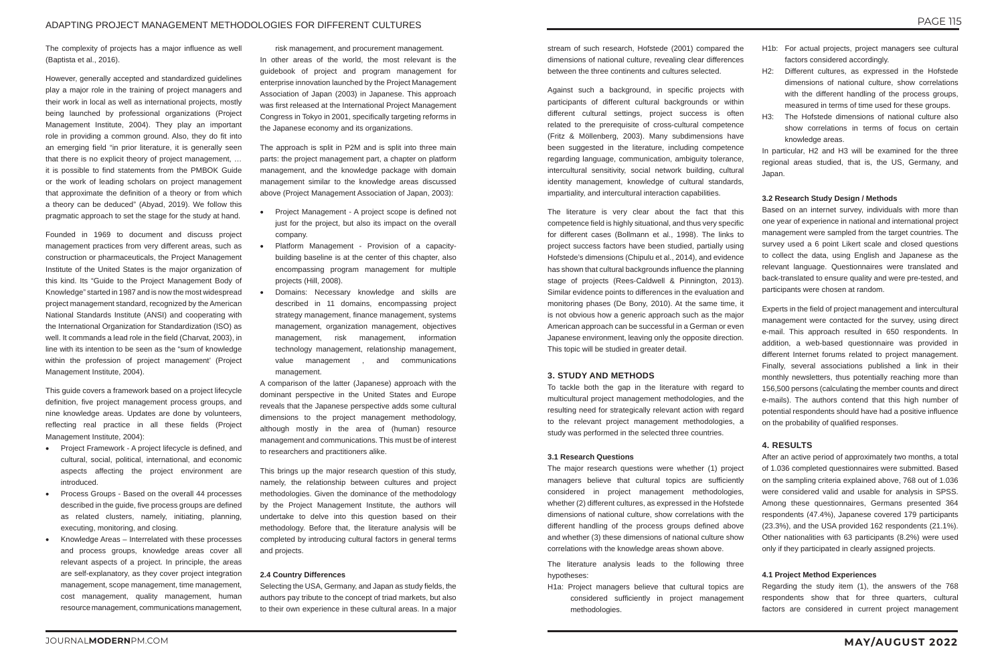The complexity of projects has a major influence as well (Baptista et al., 2016).

However, generally accepted and standardized guidelines play a major role in the training of project managers and their work in local as well as international projects, mostly being launched by professional organizations (Project Management Institute, 2004). They play an important role in providing a common ground. Also, they do fit into an emerging field "in prior literature, it is generally seen that there is no explicit theory of project management, … it is possible to find statements from the PMBOK Guide or the work of leading scholars on project management that approximate the definition of a theory or from which a theory can be deduced" (Abyad, 2019). We follow this pragmatic approach to set the stage for the study at hand.

Founded in 1969 to document and discuss project management practices from very different areas, such as construction or pharmaceuticals, the Project Management Institute of the United States is the major organization of this kind. Its "Guide to the Project Management Body of Knowledge" started in 1987 and is now the most widespread project management standard, recognized by the American National Standards Institute (ANSI) and cooperating with the International Organization for Standardization (ISO) as well. It commands a lead role in the field (Charvat, 2003), in line with its intention to be seen as the "sum of knowledge within the profession of project management' (Project Management Institute, 2004).

- Project Framework A project lifecycle is defined, and cultural, social, political, international, and economic aspects affecting the project environment are introduced.
- Process Groups Based on the overall 44 processes described in the guide, five process groups are defined as related clusters, namely, initiating, planning, executing, monitoring, and closing.
- Knowledge Areas Interrelated with these processes and process groups, knowledge areas cover all relevant aspects of a project. In principle, the areas are self-explanatory, as they cover project integration management, scope management, time management, cost management, quality management, human resource management, communications management,

This guide covers a framework based on a project lifecycle definition, five project management process groups, and nine knowledge areas. Updates are done by volunteers, reflecting real practice in all these fields (Project Management Institute, 2004):

risk management, and procurement management. In other areas of the world, the most relevant is the guidebook of project and program management for enterprise innovation launched by the Project Management Association of Japan (2003) in Japanese. This approach was first released at the International Project Management Congress in Tokyo in 2001, specifically targeting reforms in the Japanese economy and its organizations.

The approach is split in P2M and is split into three main parts: the project management part, a chapter on platform management, and the knowledge package with domain management similar to the knowledge areas discussed above (Project Management Association of Japan, 2003):

- • Project Management A project scope is defined not just for the project, but also its impact on the overall company.
- Platform Management Provision of a capacitybuilding baseline is at the center of this chapter, also encompassing program management for multiple projects (Hill, 2008).
- Domains: Necessary knowledge and skills are described in 11 domains, encompassing project strategy management, finance management, systems management, organization management, objectives management, risk management, information technology management, relationship management, value management , and communications management.
- H1b: For actual projects, project managers see cultural factors considered accordingly.
- H2: Different cultures, as expressed in the Hofstede dimensions of national culture, show correlations with the different handling of the process groups, measured in terms of time used for these groups.
- H3: The Hofstede dimensions of national culture also show correlations in terms of focus on certain knowledge areas.

A comparison of the latter (Japanese) approach with the dominant perspective in the United States and Europe reveals that the Japanese perspective adds some cultural dimensions to the project management methodology, although mostly in the area of (human) resource management and communications. This must be of interest to researchers and practitioners alike.

This brings up the major research question of this study, namely, the relationship between cultures and project methodologies. Given the dominance of the methodology by the Project Management Institute, the authors will undertake to delve into this question based on their methodology. Before that, the literature analysis will be completed by introducing cultural factors in general terms and projects.

### **2.4 Country Differences**

Selecting the USA, Germany, and Japan as study fields, the authors pay tribute to the concept of triad markets, but also to their own experience in these cultural areas. In a major

stream of such research, Hofstede (2001) compared the dimensions of national culture, revealing clear differences between the three continents and cultures selected.

Against such a background, in specific projects with participants of different cultural backgrounds or within different cultural settings, project success is often related to the prerequisite of cross-cultural competence (Fritz & Möllenberg, 2003). Many subdimensions have been suggested in the literature, including competence regarding language, communication, ambiguity tolerance, intercultural sensitivity, social network building, cultural identity management, knowledge of cultural standards, impartiality, and intercultural interaction capabilities.

The literature is very clear about the fact that this competence field is highly situational, and thus very specific for different cases (Bollmann et al., 1998). The links to project success factors have been studied, partially using Hofstede's dimensions (Chipulu et al., 2014), and evidence has shown that cultural backgrounds influence the planning stage of projects (Rees-Caldwell & Pinnington, 2013). Similar evidence points to differences in the evaluation and monitoring phases (De Bony, 2010). At the same time, it is not obvious how a generic approach such as the major American approach can be successful in a German or even Japanese environment, leaving only the opposite direction. This topic will be studied in greater detail.

### **3. STUDY AND METHODS**

To tackle both the gap in the literature with regard to multicultural project management methodologies, and the resulting need for strategically relevant action with regard to the relevant project management methodologies, a study was performed in the selected three countries.

### **3.1 Research Questions**

The major research questions were whether (1) project managers believe that cultural topics are sufficiently considered in project management methodologies, whether (2) different cultures, as expressed in the Hofstede dimensions of national culture, show correlations with the different handling of the process groups defined above and whether (3) these dimensions of national culture show correlations with the knowledge areas shown above.

The literature analysis leads to the following three hypotheses:

H1a: Project managers believe that cultural topics are considered sufficiently in project management methodologies.

In particular, H2 and H3 will be examined for the three regional areas studied, that is, the US, Germany, and Japan.

### **3.2 Research Study Design / Methods**

Based on an internet survey, individuals with more than one year of experience in national and international project management were sampled from the target countries. The survey used a 6 point Likert scale and closed questions to collect the data, using English and Japanese as the relevant language. Questionnaires were translated and back-translated to ensure quality and were pre-tested, and participants were chosen at random.

Experts in the field of project management and intercultural management were contacted for the survey, using direct e-mail. This approach resulted in 650 respondents. In addition, a web-based questionnaire was provided in different Internet forums related to project management. Finally, several associations published a link in their monthly newsletters, thus potentially reaching more than 156,500 persons (calculating the member counts and direct e-mails). The authors contend that this high number of potential respondents should have had a positive influence on the probability of qualified responses.

### **4. RESULTS**

After an active period of approximately two months, a total of 1.036 completed questionnaires were submitted. Based on the sampling criteria explained above, 768 out of 1.036 were considered valid and usable for analysis in SPSS. Among these questionnaires, Germans presented 364 respondents (47.4%), Japanese covered 179 participants (23.3%), and the USA provided 162 respondents (21.1%). Other nationalities with 63 participants (8.2%) were used only if they participated in clearly assigned projects.

### **4.1 Project Method Experiences**

Regarding the study item (1), the answers of the 768 respondents show that for three quarters, cultural factors are considered in current project management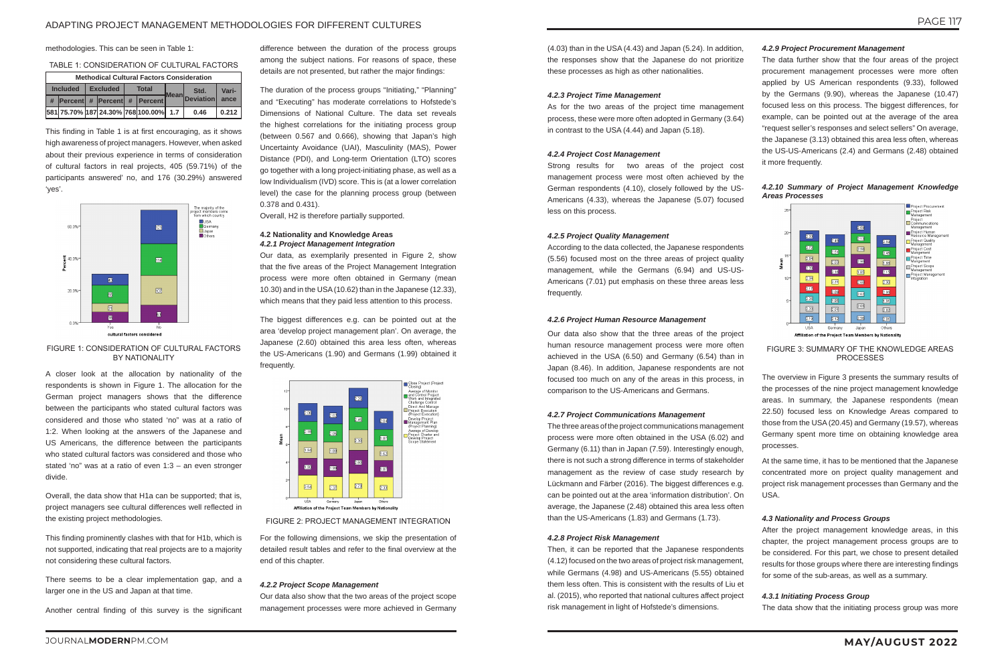### ADAPTING PROJECT MANAGEMENT METHODOLOGIES FOR DIFFERENT CULTURES

methodologies. This can be seen in Table 1:

### TABLE 1: CONSIDERATION OF CULTURAL FACTORS

|                 | <b>Methodical Cultural Factors Consideration</b> |                 |  |  |              |                                       |      |                |       |
|-----------------|--------------------------------------------------|-----------------|--|--|--------------|---------------------------------------|------|----------------|-------|
| <b>Included</b> |                                                  | <b>Excluded</b> |  |  | <b>Total</b> |                                       | Std. | Vari-          |       |
|                 |                                                  |                 |  |  |              | $\#$  Percent #  Percent #  Percent   |      | Mean Deviation | ance  |
|                 |                                                  |                 |  |  |              | 581 75.70% 187 24.30% 768 100.00% 1.7 |      | 0.46           | 0.212 |

This finding in Table 1 is at first encouraging, as it shows high awareness of project managers. However, when asked about their previous experience in terms of consideration of cultural factors in real projects, 405 (59.71%) of the participants answered' no, and 176 (30.29%) answered 'yes'.



### FIGURE 1: CONSIDERATION OF CULTURAL FACTORS BY NATIONALITY

A closer look at the allocation by nationality of the respondents is shown in Figure 1. The allocation for the German project managers shows that the difference between the participants who stated cultural factors was considered and those who stated 'no" was at a ratio of 1:2. When looking at the answers of the Japanese and US Americans, the difference between the participants who stated cultural factors was considered and those who stated 'no" was at a ratio of even 1:3 – an even stronger divide.

Overall, the data show that H1a can be supported; that is, project managers see cultural differences well reflected in the existing project methodologies.

This finding prominently clashes with that for H1b, which is not supported, indicating that real projects are to a majority not considering these cultural factors.

There seems to be a clear implementation gap, and a larger one in the US and Japan at that time.

Another central finding of this survey is the significant

difference between the duration of the process groups among the subject nations. For reasons of space, these details are not presented, but rather the major findings:

The duration of the process groups "Initiating," "Planning" and "Executing" has moderate correlations to Hofstede's Dimensions of National Culture. The data set reveals the highest correlations for the initiating process group (between 0.567 and 0.666), showing that Japan's high Uncertainty Avoidance (UAI), Masculinity (MAS), Power Distance (PDI), and Long-term Orientation (LTO) scores go together with a long project-initiating phase, as well as a low Individualism (IVD) score. This is (at a lower correlation level) the case for the planning process group (between 0.378 and 0.431).

Overall, H2 is therefore partially supported.

### **4.2 Nationality and Knowledge Areas** *4.2.1 Project Management Integration*

Our data, as exemplarily presented in Figure 2, show that the five areas of the Project Management Integration process were more often obtained in Germany (mean 10.30) and in the USA (10.62) than in the Japanese (12.33), which means that they paid less attention to this process.

The biggest differences e.g. can be pointed out at the area 'develop project management plan'. On average, the Japanese (2.60) obtained this area less often, whereas the US-Americans (1.90) and Germans (1.99) obtained it frequently.



FIGURE 2: PROJECT MANAGEMENT INTEGRATION

For the following dimensions, we skip the presentation of detailed result tables and refer to the final overview at the end of this chapter.

### *4.2.2 Project Scope Management*

Our data also show that the two areas of the project scope management processes were more achieved in Germany

(4.03) than in the USA (4.43) and Japan (5.24). In addition, the responses show that the Japanese do not prioritize these processes as high as other nationalities.

### *4.2.3 Project Time Management*

As for the two areas of the project time management process, these were more often adopted in Germany (3.64) in contrast to the USA (4.44) and Japan (5.18).

### *4.2.4 Project Cost Management*

Strong results for two areas of the project cost management process were most often achieved by the German respondents (4.10), closely followed by the US-Americans (4.33), whereas the Japanese (5.07) focused less on this process.

### *4.2.5 Project Quality Management*

According to the data collected, the Japanese respondents (5.56) focused most on the three areas of project quality management, while the Germans (6.94) and US-US-Americans (7.01) put emphasis on these three areas less frequently.

### *4.2.6 Project Human Resource Management*

Our data also show that the three areas of the project human resource management process were more often achieved in the USA (6.50) and Germany (6.54) than in Japan (8.46). In addition, Japanese respondents are not focused too much on any of the areas in this process, in comparison to the US-Americans and Germans.

### *4.2.7 Project Communications Management*

The three areas of the project communications management process were more often obtained in the USA (6.02) and Germany (6.11) than in Japan (7.59). Interestingly enough, there is not such a strong difference in terms of stakeholder management as the review of case study research by Lückmann and Färber (2016). The biggest differences e.g. can be pointed out at the area 'information distribution'. On average, the Japanese (2.48) obtained this area less often than the US-Americans (1.83) and Germans (1.73).

### *4.2.8 Project Risk Management*

Then, it can be reported that the Japanese respondents (4.12) focused on the two areas of project risk management, while Germans (4.98) and US-Americans (5.55) obtained them less often. This is consistent with the results of Liu et al. (2015), who reported that national cultures affect project risk management in light of Hofstede's dimensions.

### *4.2.9 Project Procurement Management*

The data further show that the four areas of the project procurement management processes were more often applied by US American respondents (9.33), followed by the Germans (9.90), whereas the Japanese (10.47) focused less on this process. The biggest differences, for example, can be pointed out at the average of the area "request seller's responses and select sellers" On average, the Japanese (3.13) obtained this area less often, whereas the US-US-Americans (2.4) and Germans (2.48) obtained it more frequently.

*4.2.10 Summary of Project Management Knowledge Areas Processes*



FIGURE 3: SUMMARY OF THE KNOWLEDGE AREAS

**PROCESSES** 

The overview in Figure 3 presents the summary results of the processes of the nine project management knowledge areas. In summary, the Japanese respondents (mean 22.50) focused less on Knowledge Areas compared to those from the USA (20.45) and Germany (19.57), whereas Germany spent more time on obtaining knowledge area processes.

At the same time, it has to be mentioned that the Japanese concentrated more on project quality management and project risk management processes than Germany and the USA.

## *4.3 Nationality and Process Groups*

After the project management knowledge areas, in this chapter, the project management process groups are to be considered. For this part, we chose to present detailed results for those groups where there are interesting findings for some of the sub-areas, as well as a summary.

### *4.3.1 Initiating Process Group*

The data show that the initiating process group was more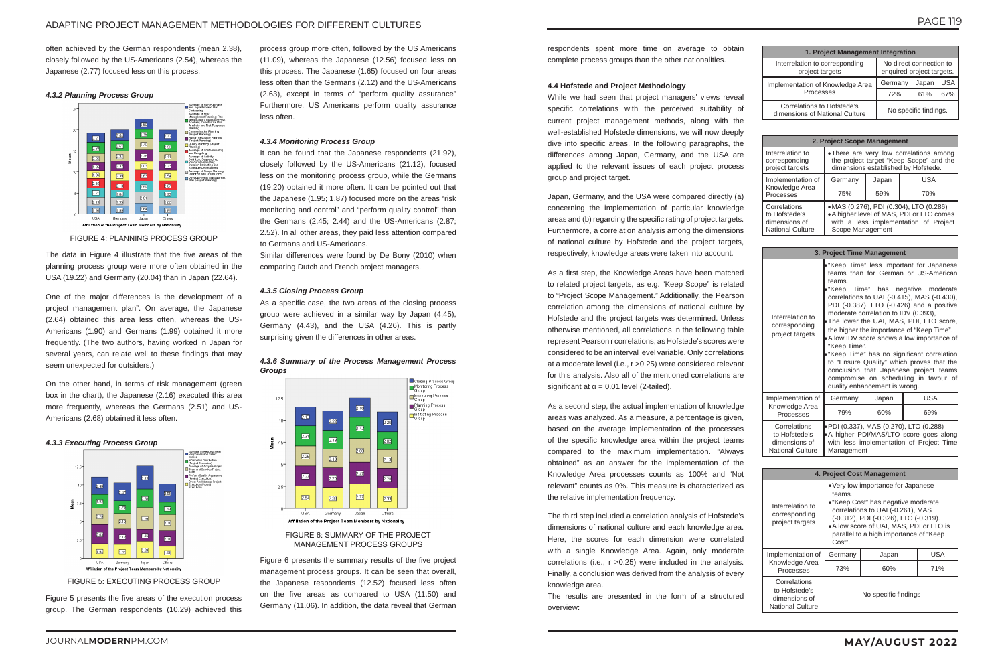often achieved by the German respondents (mean 2.38), closely followed by the US-Americans (2.54), whereas the Japanese (2.77) focused less on this process.

The data in Figure 4 illustrate that the five areas of the planning process group were more often obtained in the USA (19.22) and Germany (20.04) than in Japan (22.64).

### *4.3.2 Planning Process Group*



FIGURE 4: PLANNING PROCESS GROUP

One of the major differences is the development of a project management plan". On average, the Japanese (2.64) obtained this area less often, whereas the US-Americans (1.90) and Germans (1.99) obtained it more frequently. (The two authors, having worked in Japan for several years, can relate well to these findings that may seem unexpected for outsiders.)

On the other hand, in terms of risk management (green box in the chart), the Japanese (2.16) executed this area more frequently, whereas the Germans (2.51) and US-Americans (2.68) obtained it less often.

It can be found that the Japanese respondents (21.92), closely followed by the US-Americans (21.12), focused less on the monitoring process group, while the Germans (19.20) obtained it more often. It can be pointed out that the Japanese (1.95; 1.87) focused more on the areas "risk monitoring and control" and "perform quality control" than the Germans (2.45; 2.44) and the US-Americans (2.87; 2.52). In all other areas, they paid less attention compared to Germans and US-Americans.

### *4.3.3 Executing Process Group*



FIGURE 5: EXECUTING PROCESS GROUP

Figure 5 presents the five areas of the execution process group. The German respondents (10.29) achieved this

process group more often, followed by the US Americans (11.09), whereas the Japanese (12.56) focused less on this process. The Japanese (1.65) focused on four areas less often than the Germans (2.12) and the US-Americans (2.63), except in terms of "perform quality assurance" Furthermore, US Americans perform quality assurance less often.

### *4.3.4 Monitoring Process Group*

As a first step, the Knowledge Areas have been matched to related project targets, as e.g. "Keep Scope" is related to "Project Scope Management." Additionally, the Pearson correlation among the dimensions of national culture by Hofstede and the project targets was determined. Unless otherwise mentioned, all correlations in the following table represent Pearson r correlations, as Hofstede's scores were considered to be an interval level variable. Only correlations at a moderate level (i.e., r >0.25) were considered relevant for this analysis. Also all of the mentioned correlations are significant at  $\alpha$  = 0.01 level (2-tailed).

Similar differences were found by De Bony (2010) when comparing Dutch and French project managers.

### *4.3.5 Closing Process Group*

As a specific case, the two areas of the closing process group were achieved in a similar way by Japan (4.45), Germany (4.43), and the USA (4.26). This is partly surprising given the differences in other areas.





### FIGURE 6: SUMMARY OF THE PROJECT MANAGEMENT PROCESS GROUPS

Figure 6 presents the summary results of the five project management process groups. It can be seen that overall, the Japanese respondents (12.52) focused less often on the five areas as compared to USA (11.50) and Germany (11.06). In addition, the data reveal that German

respondents spent more time on average to obtain complete process groups than the other nationalities.

### **4.4 Hofstede and Project Methodology**

While we had seen that project managers' views reveal specific correlations with the perceived suitability of current project management methods, along with the well-established Hofstede dimensions, we will now deeply dive into specific areas. In the following paragraphs, the differences among Japan, Germany, and the USA are applied to the relevant issues of each project process group and project target.

Japan, Germany, and the USA were compared directly (a) concerning the implementation of particular knowledge areas and (b) regarding the specific rating of project targets. Furthermore, a correlation analysis among the dimensions of national culture by Hofstede and the project targets, respectively, knowledge areas were taken into account.

As a second step, the actual implementation of knowledge areas was analyzed. As a measure, a percentage is given, based on the average implementation of the processes of the specific knowledge area within the project teams compared to the maximum implementation. "Always obtained" as an answer for the implementation of the Knowledge Area processes counts as 100% and "Not relevant" counts as 0%. This measure is characterized as the relative implementation frequency.

The third step included a correlation analysis of Hofstede's dimensions of national culture and each knowledge area. Here, the scores for each dimension were correlated with a single Knowledge Area. Again, only moderate correlations (i.e., r >0.25) were included in the analysis. Finally, a conclusion was derived from the analysis of every knowledge area.

The results are presented in the form of a structured overview:

| 1. Project Management Integration                            |                                                      |       |            |  |
|--------------------------------------------------------------|------------------------------------------------------|-------|------------|--|
| Interrelation to corresponding<br>project targets            | No direct connection to<br>enquired project targets. |       |            |  |
| Implementation of Knowledge Area<br>Processes                | Germany                                              | Japan | <b>USA</b> |  |
|                                                              | 72%                                                  | 61%   | 67%        |  |
| Correlations to Hofstede's<br>dimensions of National Culture | No specific findings.                                |       |            |  |

| 2. Project Scope Management                                               |                                                                                                                                                   |       |            |  |  |
|---------------------------------------------------------------------------|---------------------------------------------------------------------------------------------------------------------------------------------------|-------|------------|--|--|
| Interrelation to<br>corresponding<br>project targets                      | • There are very low correlations among<br>the project target "Keep Scope" and the<br>dimensions established by Hofstede.                         |       |            |  |  |
| Implementation of                                                         | Germany                                                                                                                                           | Japan | <b>USA</b> |  |  |
| Knowledge Area<br>Processes                                               | 75%                                                                                                                                               | 59%   | 70%        |  |  |
| Correlations<br>to Hofstede's<br>dimensions of<br><b>National Culture</b> | • MAS (0.276), PDI (0.304), LTO (0.286)<br>• A higher level of MAS, PDI or LTO comes<br>with a less implementation of Project<br>Scope Management |       |            |  |  |

| 3. Project Time Management                                                                                                                                                                                                |                        |                                                                       |                                                                                                                                                                                                                                                                                                                                                                                                                                                                                                                                                       |  |  |
|---------------------------------------------------------------------------------------------------------------------------------------------------------------------------------------------------------------------------|------------------------|-----------------------------------------------------------------------|-------------------------------------------------------------------------------------------------------------------------------------------------------------------------------------------------------------------------------------------------------------------------------------------------------------------------------------------------------------------------------------------------------------------------------------------------------------------------------------------------------------------------------------------------------|--|--|
| Interrelation to<br>corresponding<br>project targets                                                                                                                                                                      | teams.<br>"Keep Time". | moderate correlation to IDV (0.393),<br>quality enhancement is wrong. | • "Keep Time" less important for Japanese<br>teams than for German or US-American<br>• "Keep Time" has negative moderate<br>correlations to UAI (-0.415), MAS (-0.430),<br>PDI (-0.387), LTO (-0.426) and a positive<br>• The lower the UAI, MAS, PDI, LTO score,<br>the higher the importance of "Keep Time".<br>$\bullet$ A low IDV score shows a low importance of<br>• "Keep Time" has no significant correlation<br>to "Ensure Quality" which proves that the<br>conclusion that Japanese project teams<br>compromise on scheduling in favour of |  |  |
| Implementation of                                                                                                                                                                                                         | Germany                | Japan                                                                 | <b>USA</b>                                                                                                                                                                                                                                                                                                                                                                                                                                                                                                                                            |  |  |
| Knowledge Area<br>Processes                                                                                                                                                                                               | 79%                    | 60%                                                                   | 69%                                                                                                                                                                                                                                                                                                                                                                                                                                                                                                                                                   |  |  |
| Correlations<br>• PDI (0.337), MAS (0.270), LTO (0.288)<br>• A higher PDI/MAS/LTO score goes along<br>to Hofstede's<br>with less implementation of Project Time<br>dimensions of<br><b>National Culture</b><br>Management |                        |                                                                       |                                                                                                                                                                                                                                                                                                                                                                                                                                                                                                                                                       |  |  |

| 4. Project Cost Management                                                |                                                                                                                                                                                                                                                                    |                      |     |  |  |
|---------------------------------------------------------------------------|--------------------------------------------------------------------------------------------------------------------------------------------------------------------------------------------------------------------------------------------------------------------|----------------------|-----|--|--|
| Interrelation to<br>corresponding<br>project targets                      | • Very low importance for Japanese<br>teams.<br>• "Keep Cost" has negative moderate<br>correlations to UAI (-0.261), MAS<br>(-0.312), PDI (-0.326), LTO (-0.319).<br>• A low score of UAI, MAS, PDI or LTO is<br>parallel to a high importance of "Keep"<br>Cost". |                      |     |  |  |
| Implementation of                                                         | Germany                                                                                                                                                                                                                                                            | Japan                | USA |  |  |
| Knowledge Area<br>Processes                                               | 73%                                                                                                                                                                                                                                                                | 60%                  | 71% |  |  |
| Correlations<br>to Hofstede's<br>dimensions of<br><b>National Culture</b> |                                                                                                                                                                                                                                                                    | No specific findings |     |  |  |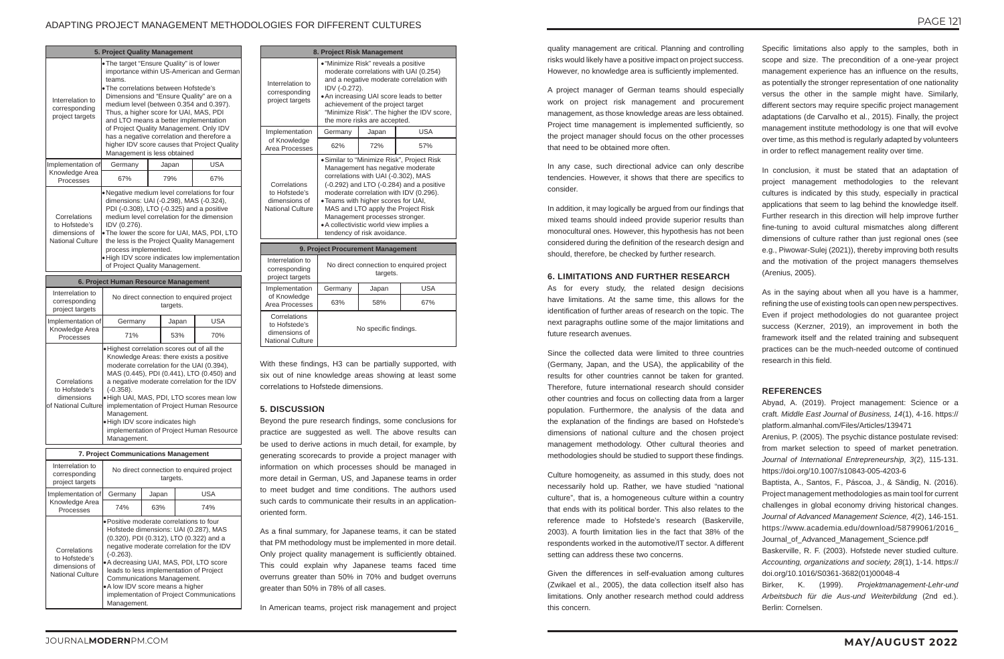### ADAPTING PROJECT MANAGEMENT METHODOLOGIES FOR DIFFERENT CULTURES

quality management are critical. Planning and controlling risks would likely have a positive impact on project success. However, no knowledge area is sufficiently implemented.

A project manager of German teams should especially work on project risk management and procurement management, as those knowledge areas are less obtained. Project time management is implemented sufficiently, so the project manager should focus on the other processes that need to be obtained more often.

In any case, such directional advice can only describe tendencies. However, it shows that there are specifics to consider.

In addition, it may logically be argued from our findings that mixed teams should indeed provide superior results than monocultural ones. However, this hypothesis has not been considered during the definition of the research design and should, therefore, be checked by further research.

### **6. LIMITATIONS AND FURTHER RESEARCH**

As for every study, the related design decisions have limitations. At the same time, this allows for the identification of further areas of research on the topic. The next paragraphs outline some of the major limitations and future research avenues.

Since the collected data were limited to three countries (Germany, Japan, and the USA), the applicability of the results for other countries cannot be taken for granted. Therefore, future international research should consider other countries and focus on collecting data from a larger population. Furthermore, the analysis of the data and the explanation of the findings are based on Hofstede's dimensions of national culture and the chosen project management methodology. Other cultural theories and methodologies should be studied to support these findings.

Culture homogeneity, as assumed in this study, does not necessarily hold up. Rather, we have studied "national culture", that is, a homogeneous culture within a country that ends with its political border. This also relates to the reference made to Hofstede's research (Baskerville, 2003). A fourth limitation lies in the fact that 38% of the respondents worked in the automotive/IT sector. A different setting can address these two concerns.

Given the differences in self-evaluation among cultures (Zwikael et al., 2005), the data collection itself also has limitations. Only another research method could address this concern.

Specific limitations also apply to the samples, both in scope and size. The precondition of a one-year project management experience has an influence on the results, as potentially the stronger representation of one nationality versus the other in the sample might have. Similarly, different sectors may require specific project management adaptations (de Carvalho et al., 2015). Finally, the project management institute methodology is one that will evolve over time, as this method is regularly adapted by volunteers in order to reflect management reality over time.

In conclusion, it must be stated that an adaptation of project management methodologies to the relevant cultures is indicated by this study, especially in practical applications that seem to lag behind the knowledge itself. Further research in this direction will help improve further fine-tuning to avoid cultural mismatches along different dimensions of culture rather than just regional ones (see e.g., Piwowar-Sulej (2021)), thereby improving both results and the motivation of the project managers themselves (Arenius, 2005).

As in the saying about when all you have is a hammer, refining the use of existing tools can open new perspectives. Even if project methodologies do not guarantee project success (Kerzner, 2019), an improvement in both the framework itself and the related training and subsequent practices can be the much-needed outcome of continued research in this field.

### **REFERENCES**

Abyad, A. (2019). Project management: Science or a craft. *Middle East Journal of Business, 14*(1), 4-16. https:// platform.almanhal.com/Files/Articles/139471

Arenius, P. (2005). The psychic distance postulate revised: from market selection to speed of market penetration. *Journal of International Entrepreneurship, 3*(2), 115-131. https://doi.org/10.1007/s10843-005-4203-6

Baptista, A., Santos, F., Páscoa, J., & Sändig, N. (2016). Project management methodologies as main tool for current challenges in global economy driving historical changes. *Journal of Advanced Management Science, 4*(2), 146-151. https://www.academia.edu/download/58799061/2016\_ Journal\_of\_Advanced\_Management\_Science.pdf

Baskerville, R. F. (2003). Hofstede never studied culture. *Accounting, organizations and society, 28*(1), 1-14. https:// doi.org/10.1016/S0361-3682(01)00048-4

Birker, K. (1999). *Projektmanagement-Lehr-und Arbeitsbuch für die Aus-und Weiterbildung* (2nd ed.). Berlin: Cornelsen.

| 5. Project Quality Management                                             |                                                                                                                                                                                                                                                                                                                                                                                                                                                                                            |       |     |  |  |
|---------------------------------------------------------------------------|--------------------------------------------------------------------------------------------------------------------------------------------------------------------------------------------------------------------------------------------------------------------------------------------------------------------------------------------------------------------------------------------------------------------------------------------------------------------------------------------|-------|-----|--|--|
| Interrelation to<br>corresponding<br>project targets                      | • The target "Ensure Quality" is of lower<br>importance within US-American and German<br>teams.<br>. The correlations between Hofstede's<br>Dimensions and "Ensure Quality" are on a<br>medium level (between 0.354 and 0.397).<br>Thus, a higher score for UAI, MAS, PDI<br>and LTO means a better implementation<br>of Project Quality Management. Only IDV<br>has a negative correlation and therefore a<br>higher IDV score causes that Project Quality<br>Management is less obtained |       |     |  |  |
| Implementation of                                                         | Germany                                                                                                                                                                                                                                                                                                                                                                                                                                                                                    | Japan | USA |  |  |
| Knowledge Area<br>Processes                                               | 67%                                                                                                                                                                                                                                                                                                                                                                                                                                                                                        | 79%   | 67% |  |  |
| Correlations<br>to Hofstede's<br>dimensions of<br><b>National Culture</b> | . Negative medium level correlations for four<br>dimensions: UAI (-0.298), MAS (-0.324),<br>PDI (-0.308), LTO (-0.325) and a positive<br>medium level correlation for the dimension<br>IDV (0.276).<br>. The lower the score for UAI, MAS, PDI, LTO<br>the less is the Project Quality Management<br>process implemented.<br>. High IDV score indicates low implementation<br>of Project Quality Management.                                                                               |       |     |  |  |

|                                                                              | 6. Project Human Resource Management                                                                                                                                                                                                                                                                                                                                                                                                    |       |            |  |  |
|------------------------------------------------------------------------------|-----------------------------------------------------------------------------------------------------------------------------------------------------------------------------------------------------------------------------------------------------------------------------------------------------------------------------------------------------------------------------------------------------------------------------------------|-------|------------|--|--|
| Interrelation to<br>corresponding<br>project targets                         | No direct connection to enquired project<br>targets.                                                                                                                                                                                                                                                                                                                                                                                    |       |            |  |  |
| Implementation of                                                            | Germany                                                                                                                                                                                                                                                                                                                                                                                                                                 | Japan | <b>USA</b> |  |  |
| Knowledge Area<br>Processes                                                  | 71%                                                                                                                                                                                                                                                                                                                                                                                                                                     | 53%   | 70%        |  |  |
| Correlations<br>to Hofstede's<br>dimensions<br>lof National Culture <b>l</b> | . Highest correlation scores out of all the<br>Knowledge Areas: there exists a positive<br>moderate correlation for the UAI (0.394).<br>MAS (0.445), PDI (0.441), LTO (0.450) and<br>a negative moderate correlation for the IDV<br>$(-0.358)$ .<br>. High UAI, MAS, PDI, LTO scores mean low<br>implementation of Project Human Resource<br>Management.<br>. High IDV score indicates high<br>implementation of Project Human Resource |       |            |  |  |

| 7. Project Communications Management                                      |                                                                                               |       |                                                                                                                                                                                                                                                                                                             |  |
|---------------------------------------------------------------------------|-----------------------------------------------------------------------------------------------|-------|-------------------------------------------------------------------------------------------------------------------------------------------------------------------------------------------------------------------------------------------------------------------------------------------------------------|--|
| Interrelation to<br>corresponding<br>project targets                      | No direct connection to enquired project<br>targets.                                          |       |                                                                                                                                                                                                                                                                                                             |  |
| Implementation of                                                         | Germany                                                                                       | Japan | <b>USA</b>                                                                                                                                                                                                                                                                                                  |  |
| Knowledge Area<br>Processes                                               | 74%                                                                                           | 63%   | 74%                                                                                                                                                                                                                                                                                                         |  |
| Correlations<br>to Hofstede's<br>dimensions of<br><b>National Culture</b> | $(-0.263)$ .<br>Communications Management.<br>• A low IDV score means a higher<br>Management. |       | • Positive moderate correlations to four<br>Hofstede dimensions: UAI (0.287), MAS<br>(0.320), PDI (0.312), LTO (0.322) and a<br>negative moderate correlation for the IDV<br>• A decreasing UAI, MAS, PDI, LTO score<br>leads to less implementation of Project<br>implementation of Project Communications |  |

| 8. Project Risk Management                                                |                                                                                                                                                                                                                                                                                                                                                                                                      |       |            |  |  |
|---------------------------------------------------------------------------|------------------------------------------------------------------------------------------------------------------------------------------------------------------------------------------------------------------------------------------------------------------------------------------------------------------------------------------------------------------------------------------------------|-------|------------|--|--|
| Interrelation to<br>corresponding<br>project targets                      | • "Minimize Risk" reveals a positive<br>moderate correlations with UAI (0.254)<br>and a negative moderate correlation with<br>IDV (-0.272).<br>. An increasing UAI score leads to better<br>achievement of the project target<br>"Minimize Risk". The higher the IDV score,<br>the more risks are accepted.                                                                                          |       |            |  |  |
| Implementation                                                            | Germany                                                                                                                                                                                                                                                                                                                                                                                              | Japan | <b>USA</b> |  |  |
| of Knowledge<br>Area Processes                                            | 62%                                                                                                                                                                                                                                                                                                                                                                                                  | 72%   | 57%        |  |  |
| Correlations<br>to Hofstede's<br>dimensions of<br><b>National Culture</b> | · Similar to "Minimize Risk", Project Risk<br>Management has negative moderate<br>correlations with UAI (-0.302), MAS<br>(-0.292) and LTO (-0.284) and a positive<br>moderate correlation with IDV (0.296).<br>. Teams with higher scores for UAI,<br>MAS and LTO apply the Project Risk<br>Management processes stronger.<br>• A collectivistic world view implies a<br>tendency of risk avoidance. |       |            |  |  |
|                                                                           | 9. Project Procurement Management                                                                                                                                                                                                                                                                                                                                                                    |       |            |  |  |
| Interrelation to<br>corresponding<br>project targets                      | No direct connection to enquired project<br>targets.                                                                                                                                                                                                                                                                                                                                                 |       |            |  |  |
| Implementation                                                            | Germany                                                                                                                                                                                                                                                                                                                                                                                              | Japan | <b>USA</b> |  |  |
| of Knowledge<br>Area Processes                                            | 63%                                                                                                                                                                                                                                                                                                                                                                                                  | 58%   | 67%        |  |  |
| Correlations<br>to Hofstede's<br>dimensions of<br><b>National Culture</b> | No specific findings.                                                                                                                                                                                                                                                                                                                                                                                |       |            |  |  |

With these findings, H3 can be partially supported, with six out of nine knowledge areas showing at least some correlations to Hofstede dimensions.

### **5. DISCUSSION**

Beyond the pure research findings, some conclusions for practice are suggested as well. The above results can be used to derive actions in much detail, for example, by generating scorecards to provide a project manager with information on which processes should be managed in more detail in German, US, and Japanese teams in order to meet budget and time conditions. The authors used such cards to communicate their results in an applicationoriented form.

As a final summary, for Japanese teams, it can be stated that PM methodology must be implemented in more detail. Only project quality management is sufficiently obtained. This could explain why Japanese teams faced time overruns greater than 50% in 70% and budget overruns greater than 50% in 78% of all cases.

In American teams, project risk management and project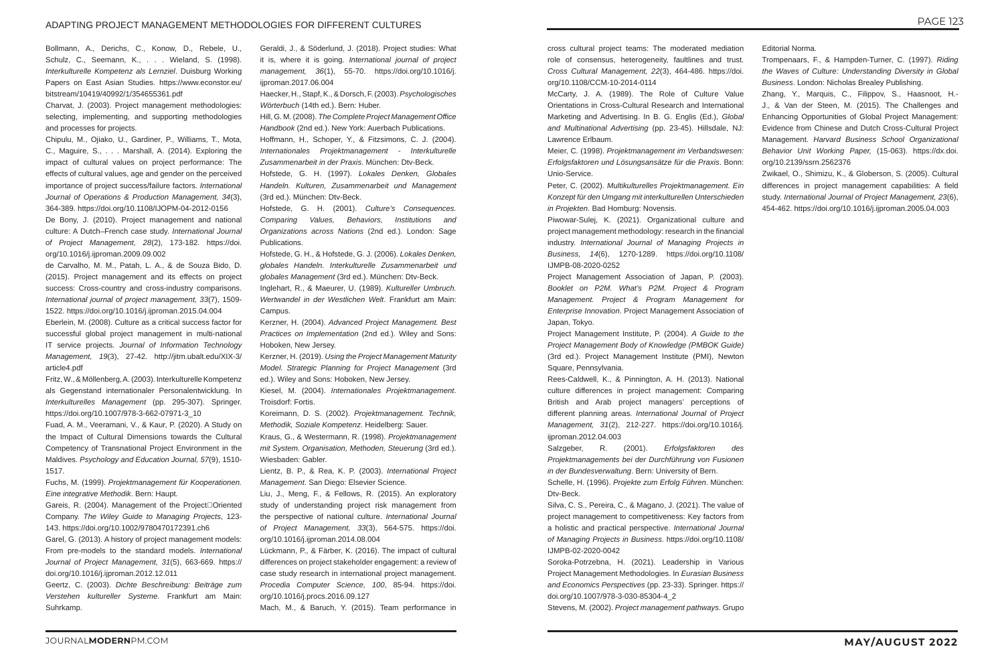Bollmann, A., Derichs, C., Konow, D., Rebele, U., Schulz, C., Seemann, K., . . . Wieland, S. (1998). *Interkulturelle Kompetenz als Lernziel*. Duisburg Working Papers on East Asian Studies. https://www.econstor.eu/ bitstream/10419/40992/1/354655361.pdf

Charvat, J. (2003). Project management methodologies: selecting, implementing, and supporting methodologies and processes for projects.

Chipulu, M., Ojiako, U., Gardiner, P., Williams, T., Mota, C., Maguire, S., . . . Marshall, A. (2014). Exploring the impact of cultural values on project performance: The effects of cultural values, age and gender on the perceived importance of project success/failure factors. *International Journal of Operations & Production Management, 34*(3), 364-389. https://doi.org/10.1108/IJOPM-04-2012-0156

De Bony, J. (2010). Project management and national culture: A Dutch–French case study. *International Journal of Project Management, 28*(2), 173-182. https://doi. org/10.1016/j.ijproman.2009.09.002

Gareis, R. (2004). Management of the Project□Oriented Company. *The Wiley Guide to Managing Projects*, 123- 143. https://doi.org/10.1002/9780470172391.ch6

de Carvalho, M. M., Patah, L. A., & de Souza Bido, D. (2015). Project management and its effects on project success: Cross-country and cross-industry comparisons. *International journal of project management, 33*(7), 1509- 1522. https://doi.org/10.1016/j.ijproman.2015.04.004

Eberlein, M. (2008). Culture as a critical success factor for successful global project management in multi-national IT service projects. *Journal of Information Technology Management, 19*(3), 27-42. http://jitm.ubalt.edu/XIX-3/ article4.pdf

Fritz, W., & Möllenberg, A. (2003). Interkulturelle Kompetenz als Gegenstand internationaler Personalentwicklung. In *Interkulturelles Management* (pp. 295-307). Springer. https://doi.org/10.1007/978-3-662-07971-3\_10

Fuad, A. M., Veeramani, V., & Kaur, P. (2020). A Study on the Impact of Cultural Dimensions towards the Cultural Competency of Transnational Project Environment in the Maldives. *Psychology and Education Journal, 57*(9), 1510- 1517.

Fuchs, M. (1999). *Projektmanagement für Kooperationen. Eine integrative Methodik*. Bern: Haupt.

Garel, G. (2013). A history of project management models: From pre-models to the standard models. *International Journal of Project Management, 31*(5), 663-669. https:// doi.org/10.1016/j.ijproman.2012.12.011

Geertz, C. (2003). *Dichte Beschreibung: Beiträge zum Verstehen kultureller Systeme*. Frankfurt am Main: Suhrkamp.

Geraldi, J., & Söderlund, J. (2018). Project studies: What it is, where it is going. *International journal of project management, 36*(1), 55-70. https://doi.org/10.1016/j. ijproman.2017.06.004

Haecker, H., Stapf, K., & Dorsch, F. (2003). *Psychologisches Wörterbuch* (14th ed.). Bern: Huber.

Hill, G. M. (2008). *The Complete Project Management Office Handbook* (2nd ed.). New York: Auerbach Publications.

Hoffmann, H., Schoper, Y., & Fitzsimons, C. J. (2004). *Internationales Projektmanagement - Interkulturelle Zusammenarbeit in der Praxis*. München: Dtv-Beck.

Hofstede, G. H. (1997). *Lokales Denken, Globales Handeln. Kulturen, Zusammenarbeit und Management* (3rd ed.). München: Dtv-Beck.

Hofstede, G. H. (2001). *Culture's Consequences. Comparing Values, Behaviors, Institutions and Organizations across Nations* (2nd ed.). London: Sage Publications.

Hofstede, G. H., & Hofstede, G. J. (2006). *Lokales Denken, globales Handeln. Interkulturelle Zusammenarbeit und globales Management* (3rd ed.). München: Dtv-Beck.

Inglehart, R., & Maeurer, U. (1989). *Kultureller Umbruch. Wertwandel in der Westlichen Welt*. Frankfurt am Main: Campus.

Kerzner, H. (2004). *Advanced Project Management. Best Practices on Implementation* (2nd ed.). Wiley and Sons: Hoboken, New Jersey.

Kerzner, H. (2019). *Using the Project Management Maturity Model. Strategic Planning for Project Management* (3rd ed.). Wiley and Sons: Hoboken, New Jersey.

Kiesel, M. (2004). *Internationales Projektmanagement*. Troisdorf: Fortis.

Koreimann, D. S. (2002). *Projektmanagement. Technik, Methodik, Soziale Kompetenz*. Heidelberg: Sauer.

Kraus, G., & Westermann, R. (1998). *Projektmanagement mit System. Organisation, Methoden, Steuerung* (3rd ed.). Wiesbaden: Gabler.

Lientz, B. P., & Rea, K. P. (2003). *International Project Management*. San Diego: Elsevier Science.

Liu, J., Meng, F., & Fellows, R. (2015). An exploratory study of understanding project risk management from the perspective of national culture. *International Journal of Project Management, 33*(3), 564-575. https://doi. org/10.1016/j.ijproman.2014.08.004

Lückmann, P., & Färber, K. (2016). The impact of cultural differences on project stakeholder engagement: a review of case study research in international project management. *Procedia Computer Science, 100*, 85-94. https://doi. org/10.1016/j.procs.2016.09.127

Mach, M., & Baruch, Y. (2015). Team performance in

cross cultural project teams: The moderated mediation role of consensus, heterogeneity, faultlines and trust. *Cross Cultural Management, 22*(3), 464-486. https://doi. org/10.1108/CCM-10-2014-0114

McCarty, J. A. (1989). The Role of Culture Value Orientations in Cross-Cultural Research and International Marketing and Advertising. In B. G. Englis (Ed.), *Global and Multinational Advertising* (pp. 23-45). Hillsdale, NJ: Lawrence Erlbaum.

Meier, C. (1998). *Projektmanagement im Verbandswesen: Erfolgsfaktoren und Lösungsansätze für die Praxis*. Bonn: Unio-Service.

Peter, C. (2002). *Multikulturelles Projektmanagement. Ein Konzept für den Umgang mit interkulturellen Unterschieden in Projekten*. Bad Homburg: Novensis.

Piwowar-Sulej, K. (2021). Organizational culture and project management methodology: research in the financial industry. *International Journal of Managing Projects in Business, 14*(6), 1270-1289. https://doi.org/10.1108/ IJMPB-08-2020-0252

Project Management Association of Japan, P. (2003). *Booklet on P2M. What's P2M. Project & Program Management. Project & Program Management for Enterprise Innovation*. Project Management Association of Japan, Tokyo.

Project Management Institute, P. (2004). *A Guide to the Project Management Body of Knowledge (PMBOK Guide)* (3rd ed.). Project Management Institute (PMI), Newton Square, Pennsylvania.

Rees-Caldwell, K., & Pinnington, A. H. (2013). National culture differences in project management: Comparing British and Arab project managers' perceptions of different planning areas. *International Journal of Project Management, 31*(2), 212-227. https://doi.org/10.1016/j. ijproman.2012.04.003

Salzgeber, R. (2001). *Erfolgsfaktoren des Projektmanagements bei der Durchführung von Fusionen in der Bundesverwaltung*. Bern: University of Bern.

Schelle, H. (1996). *Projekte zum Erfolg Führen*. München: Dtv-Beck.

Silva, C. S., Pereira, C., & Magano, J. (2021). The value of project management to competitiveness: Key factors from a holistic and practical perspective. *International Journal of Managing Projects in Business*. https://doi.org/10.1108/ IJMPB-02-2020-0042

Soroka-Potrzebna, H. (2021). Leadership in Various Project Management Methodologies. In *Eurasian Business and Economics Perspectives* (pp. 23-33). Springer. https:// doi.org/10.1007/978-3-030-85304-4\_2

Stevens, M. (2002). *Project management pathways*. Grupo

Editorial Norma.

Trompenaars, F., & Hampden-Turner, C. (1997). *Riding the Waves of Culture: Understanding Diversity in Global Business*. London: Nicholas Brealey Publishing.

Zhang, Y., Marquis, C., Filippov, S., Haasnoot, H.- J., & Van der Steen, M. (2015). The Challenges and Enhancing Opportunities of Global Project Management: Evidence from Chinese and Dutch Cross-Cultural Project Management. *Harvard Business School Organizational Behavior Unit Working Paper,* (15-063). https://dx.doi. org/10.2139/ssrn.2562376

Zwikael, O., Shimizu, K., & Globerson, S. (2005). Cultural differences in project management capabilities: A field study. *International Journal of Project Management, 23*(6), 454-462. https://doi.org/10.1016/j.ijproman.2005.04.003